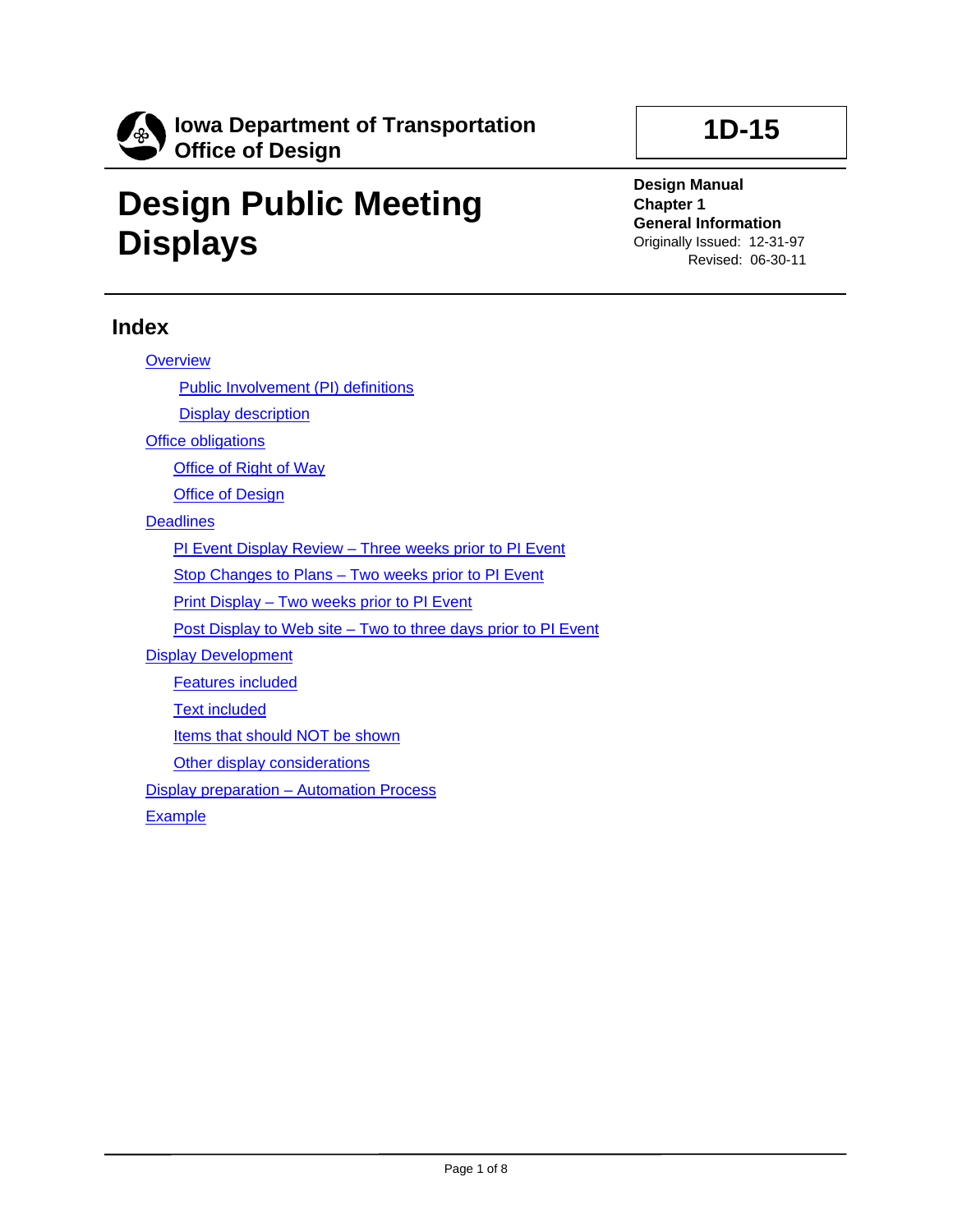

# **Design Public Meeting Displays**

**1D-15**

**Design Manual Chapter 1 General Information** Originally Issued: 12-31-97 Revised: 06-30-11

## **Index**

| <b>Overview</b>                                                |
|----------------------------------------------------------------|
| <b>Public Involvement (PI) definitions</b>                     |
| <b>Display description</b>                                     |
| <b>Office obligations</b>                                      |
| <b>Office of Right of Way</b>                                  |
| <b>Office of Design</b>                                        |
| <b>Deadlines</b>                                               |
| PI Event Display Review - Three weeks prior to PI Event        |
| Stop Changes to Plans - Two weeks prior to PI Event            |
| <b>Print Display – Two weeks prior to PI Event</b>             |
| Post Display to Web site – Two to three days prior to PI Event |
| <b>Display Development</b>                                     |
| <b>Features included</b>                                       |
| <b>Text included</b>                                           |
| Items that should NOT be shown                                 |
| Other display considerations                                   |
| <b>Display preparation - Automation Process</b>                |
| Evampla                                                        |

**[Example](#page-7-0)**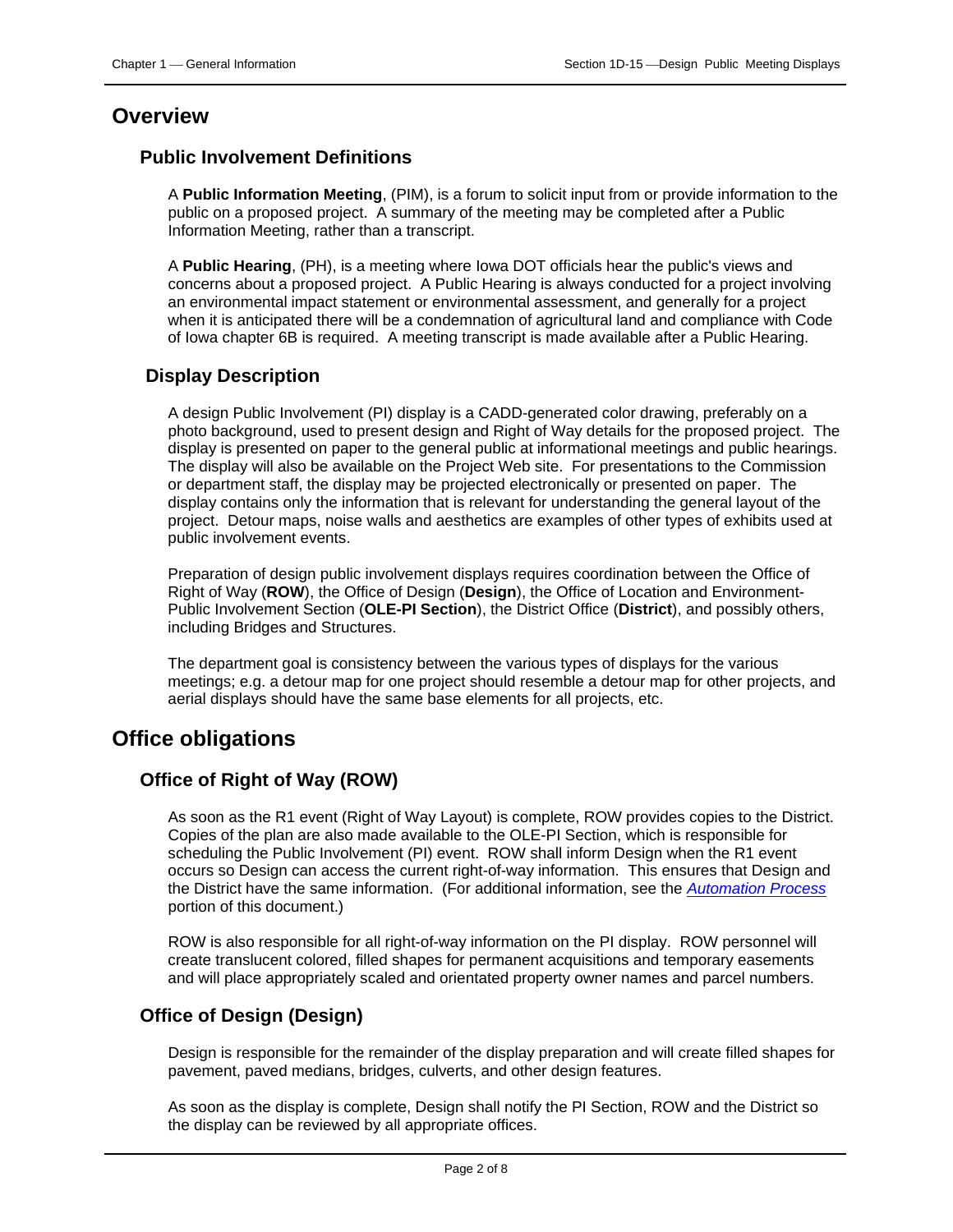## <span id="page-1-0"></span>**Overview**

#### <span id="page-1-1"></span>**Public Involvement Definitions**

A **Public Information Meeting**, (PIM), is a forum to solicit input from or provide information to the public on a proposed project. A summary of the meeting may be completed after a Public Information Meeting, rather than a transcript.

A **Public Hearing**, (PH), is a meeting where Iowa DOT officials hear the public's views and concerns about a proposed project. A Public Hearing is always conducted for a project involving an environmental impact statement or environmental assessment, and generally for a project when it is anticipated there will be a condemnation of agricultural land and compliance with Code of Iowa chapter 6B is required. A meeting transcript is made available after a Public Hearing.

## <span id="page-1-2"></span>**Display Description**

A design Public Involvement (PI) display is a CADD-generated color drawing, preferably on a photo background, used to present design and Right of Way details for the proposed project. The display is presented on paper to the general public at informational meetings and public hearings. The display will also be available on the Project Web site. For presentations to the Commission or department staff, the display may be projected electronically or presented on paper. The display contains only the information that is relevant for understanding the general layout of the project. Detour maps, noise walls and aesthetics are examples of other types of exhibits used at public involvement events.

Preparation of design public involvement displays requires coordination between the Office of Right of Way (**ROW**), the Office of Design (**Design**), the Office of Location and Environment-Public Involvement Section (**OLE-PI Section**), the District Office (**District**), and possibly others, including Bridges and Structures.

The department goal is consistency between the various types of displays for the various meetings; e.g. a detour map for one project should resemble a detour map for other projects, and aerial displays should have the same base elements for all projects, etc.

## <span id="page-1-3"></span>**Office obligations**

## <span id="page-1-4"></span>**Office of Right of Way (ROW)**

As soon as the R1 event (Right of Way Layout) is complete, ROW provides copies to the District. Copies of the plan are also made available to the OLE-PI Section, which is responsible for scheduling the Public Involvement (PI) event. ROW shall inform Design when the R1 event occurs so Design can access the current right-of-way information. This ensures that Design and the District have the same information. (For additional information, see the *[Automation Process](#page-6-0)* portion of this document.)

ROW is also responsible for all right-of-way information on the PI display. ROW personnel will create translucent colored, filled shapes for permanent acquisitions and temporary easements and will place appropriately scaled and orientated property owner names and parcel numbers.

## <span id="page-1-5"></span>**Office of Design (Design)**

Design is responsible for the remainder of the display preparation and will create filled shapes for pavement, paved medians, bridges, culverts, and other design features.

As soon as the display is complete, Design shall notify the PI Section, ROW and the District so the display can be reviewed by all appropriate offices.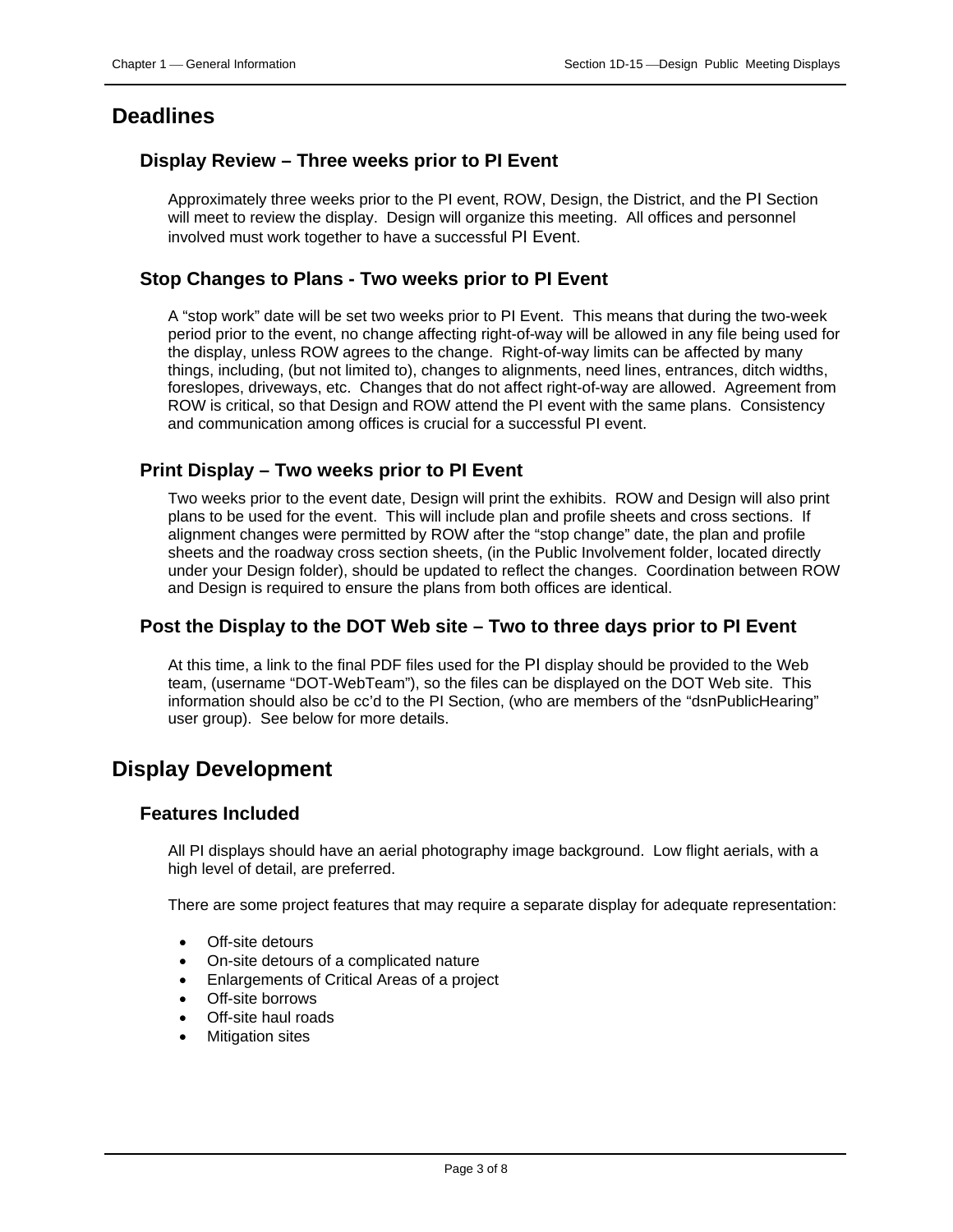## <span id="page-2-0"></span>**Deadlines**

#### <span id="page-2-1"></span>**Display Review – Three weeks prior to PI Event**

Approximately three weeks prior to the PI event, ROW, Design, the District, and the PI Section will meet to review the display. Design will organize this meeting. All offices and personnel involved must work together to have a successful PI Event.

#### <span id="page-2-2"></span>**Stop Changes to Plans - Two weeks prior to PI Event**

A "stop work" date will be set two weeks prior to PI Event. This means that during the two-week period prior to the event, no change affecting right-of-way will be allowed in any file being used for the display, unless ROW agrees to the change. Right-of-way limits can be affected by many things, including, (but not limited to), changes to alignments, need lines, entrances, ditch widths, foreslopes, driveways, etc. Changes that do not affect right-of-way are allowed. Agreement from ROW is critical, so that Design and ROW attend the PI event with the same plans. Consistency and communication among offices is crucial for a successful PI event.

#### <span id="page-2-3"></span>**Print Display – Two weeks prior to PI Event**

Two weeks prior to the event date, Design will print the exhibits. ROW and Design will also print plans to be used for the event. This will include plan and profile sheets and cross sections. If alignment changes were permitted by ROW after the "stop change" date, the plan and profile sheets and the roadway cross section sheets, (in the Public Involvement folder, located directly under your Design folder), should be updated to reflect the changes. Coordination between ROW and Design is required to ensure the plans from both offices are identical.

#### <span id="page-2-4"></span>**Post the Display to the DOT Web site – Two to three days prior to PI Event**

At this time, a link to the final PDF files used for the PI display should be provided to the Web team, (username "DOT-WebTeam"), so the files can be displayed on the DOT Web site. This information should also be cc'd to the PI Section, (who are members of the "dsnPublicHearing" user group). See below for more details.

## <span id="page-2-5"></span>**Display Development**

#### <span id="page-2-6"></span>**Features Included**

All PI displays should have an aerial photography image background. Low flight aerials, with a high level of detail, are preferred.

There are some project features that may require a separate display for adequate representation:

- Off-site detours
- On-site detours of a complicated nature
- Enlargements of Critical Areas of a project
- Off-site borrows
- Off-site haul roads
- **Mitigation sites**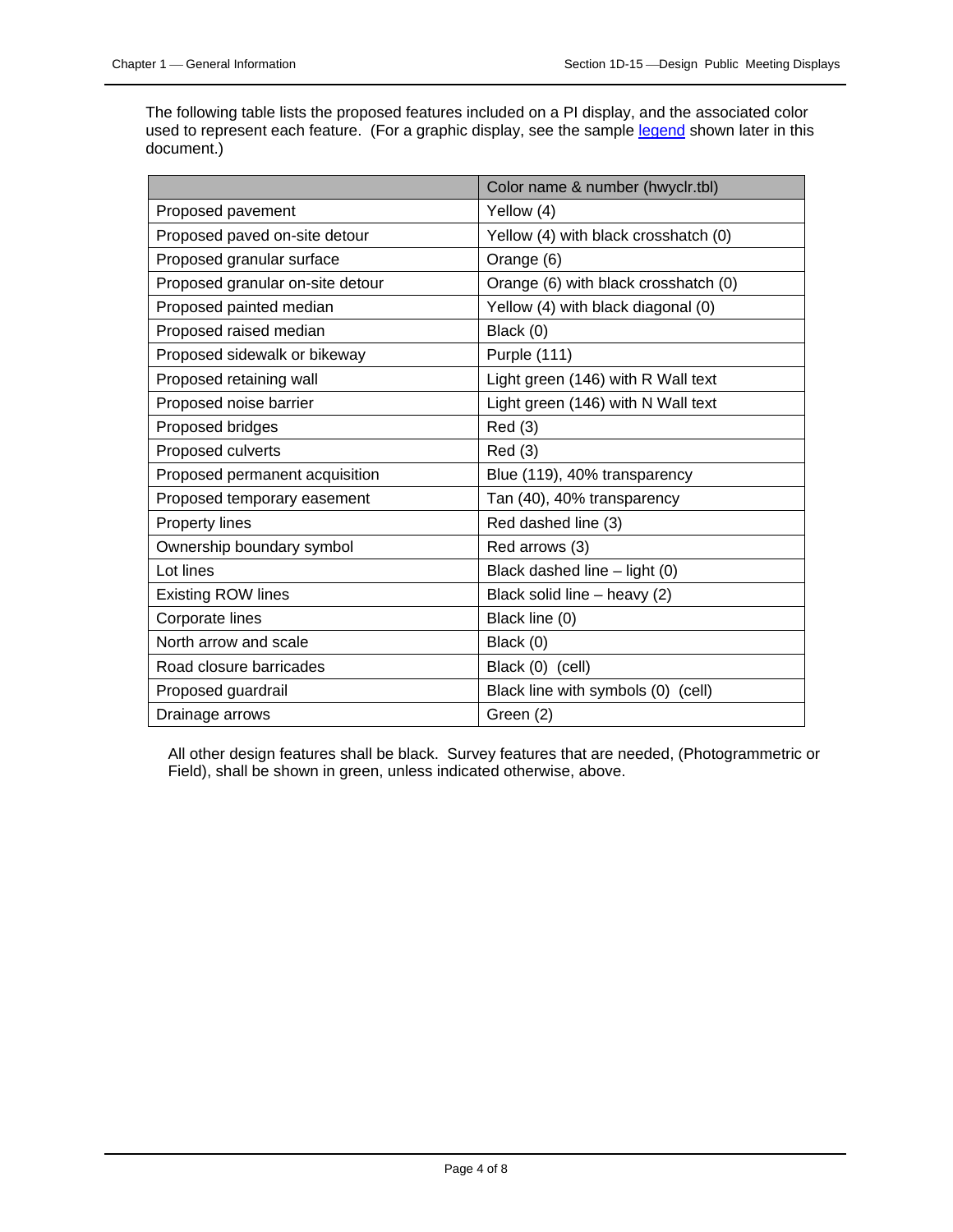The following table lists the proposed features included on a PI display, and the associated color used to represent each feature. (For a graphic display, see the sample [legend](#page-4-1) shown later in this document.)

|                                  | Color name & number (hwyclr.tbl)     |
|----------------------------------|--------------------------------------|
| Proposed pavement                | Yellow (4)                           |
| Proposed paved on-site detour    | Yellow (4) with black crosshatch (0) |
| Proposed granular surface        | Orange (6)                           |
| Proposed granular on-site detour | Orange (6) with black crosshatch (0) |
| Proposed painted median          | Yellow (4) with black diagonal (0)   |
| Proposed raised median           | Black (0)                            |
| Proposed sidewalk or bikeway     | Purple (111)                         |
| Proposed retaining wall          | Light green (146) with R Wall text   |
| Proposed noise barrier           | Light green (146) with N Wall text   |
| Proposed bridges                 | Red(3)                               |
| Proposed culverts                | Red(3)                               |
| Proposed permanent acquisition   | Blue (119), 40% transparency         |
| Proposed temporary easement      | Tan (40), 40% transparency           |
| Property lines                   | Red dashed line (3)                  |
| Ownership boundary symbol        | Red arrows (3)                       |
| Lot lines                        | Black dashed line - light (0)        |
| <b>Existing ROW lines</b>        | Black solid line - heavy (2)         |
| Corporate lines                  | Black line (0)                       |
| North arrow and scale            | Black (0)                            |
| Road closure barricades          | Black (0) (cell)                     |
| Proposed guardrail               | Black line with symbols (0) (cell)   |
| Drainage arrows                  | Green (2)                            |

All other design features shall be black. Survey features that are needed, (Photogrammetric or Field), shall be shown in green, unless indicated otherwise, above.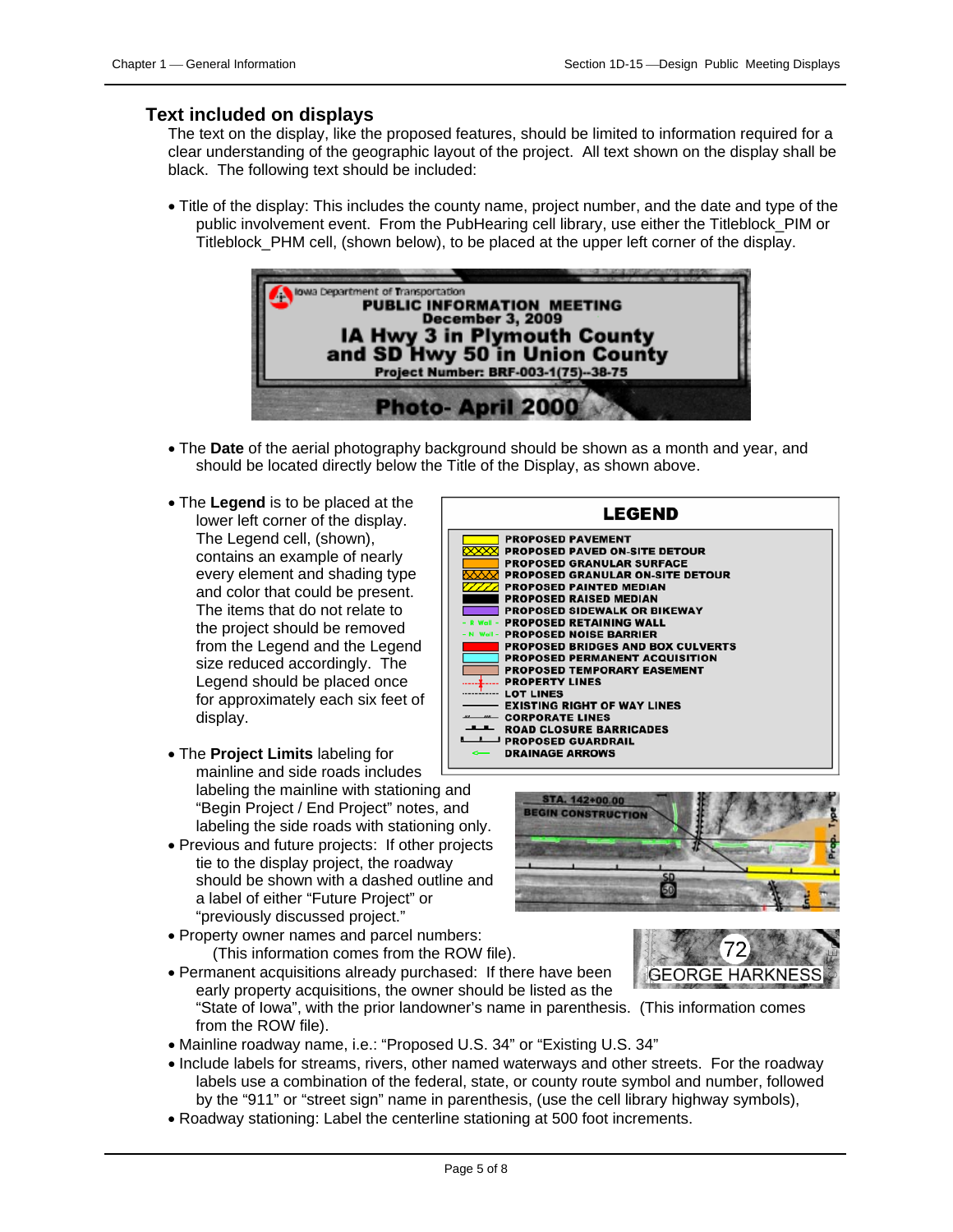#### <span id="page-4-0"></span>**Text included on displays**

The text on the display, like the proposed features, should be limited to information required for a clear understanding of the geographic layout of the project. All text shown on the display shall be black. The following text should be included:

• Title of the display: This includes the county name, project number, and the date and type of the public involvement event. From the PubHearing cell library, use either the Titleblock\_PIM or Titleblock\_PHM cell, (shown below), to be placed at the upper left corner of the display.



- The **Date** of the aerial photography background should be shown as a month and year, and should be located directly below the Title of the Display, as shown above.
- <span id="page-4-1"></span>• The **Legend** is to be placed at the lower left corner of the display. The Legend cell, (shown), contains an example of nearly every element and shading type and color that could be present. The items that do not relate to the project should be removed from the Legend and the Legend size reduced accordingly. The Legend should be placed once for approximately each six feet of display.
- The **Project Limits** labeling for mainline and side roads includes labeling the mainline with stationing and "Begin Project / End Project" notes, and labeling the side roads with stationing only.
- Previous and future projects: If other projects tie to the display project, the roadway should be shown with a dashed outline and a label of either "Future Project" or "previously discussed project."
- Property owner names and parcel numbers: (This information comes from the ROW file).







- early property acquisitions, the owner should be listed as the "State of Iowa", with the prior landowner's name in parenthesis. (This information comes from the ROW file).
- Mainline roadway name, i.e.: "Proposed U.S. 34" or "Existing U.S. 34"

• Permanent acquisitions already purchased: If there have been

- Include labels for streams, rivers, other named waterways and other streets. For the roadway labels use a combination of the federal, state, or county route symbol and number, followed by the "911" or "street sign" name in parenthesis, (use the cell library highway symbols),
- Roadway stationing: Label the centerline stationing at 500 foot increments.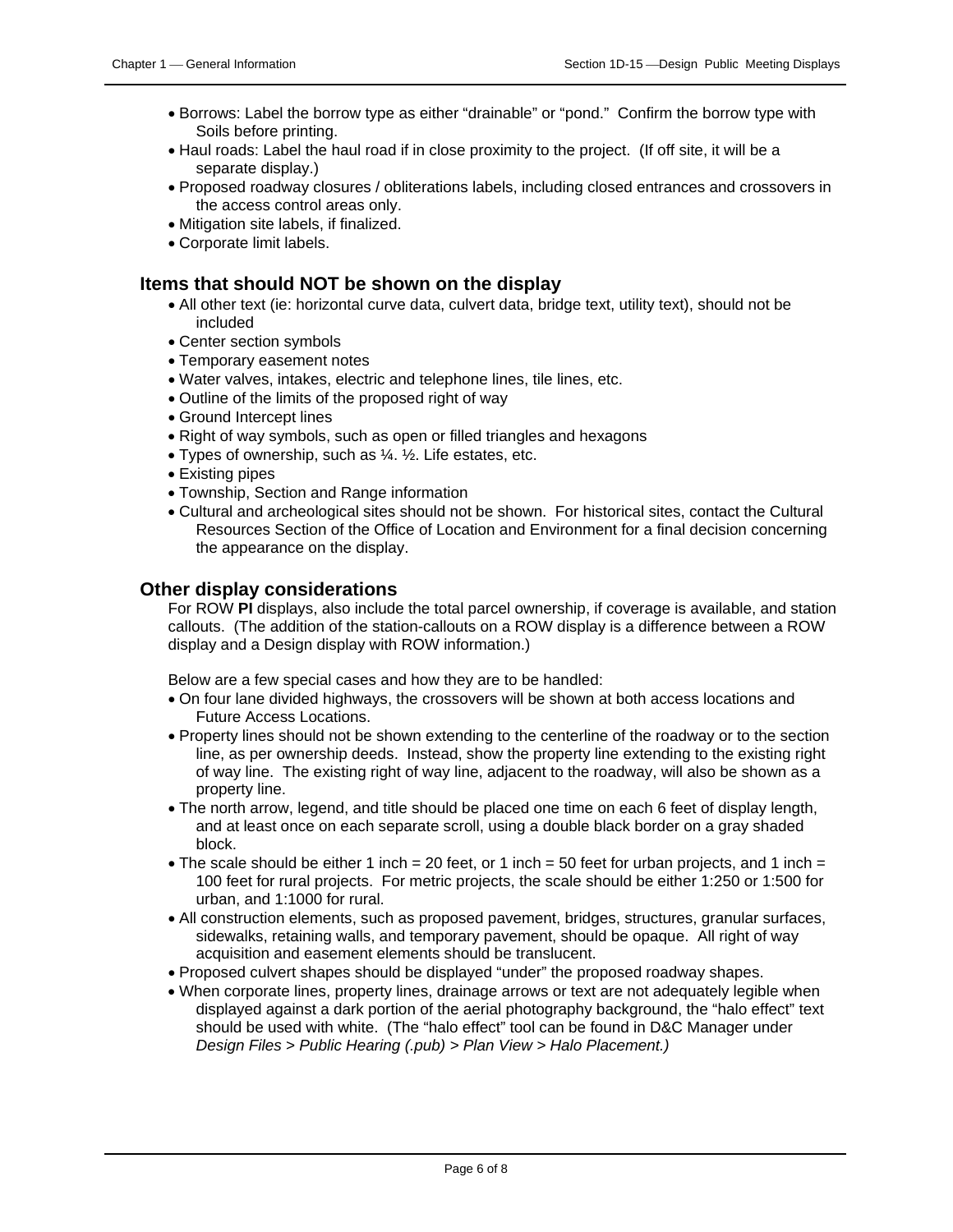- Borrows: Label the borrow type as either "drainable" or "pond." Confirm the borrow type with Soils before printing.
- Haul roads: Label the haul road if in close proximity to the project. (If off site, it will be a separate display.)
- Proposed roadway closures / obliterations labels, including closed entrances and crossovers in the access control areas only.
- Mitigation site labels, if finalized.
- Corporate limit labels.

#### <span id="page-5-0"></span>**Items that should NOT be shown on the display**

- All other text (ie: horizontal curve data, culvert data, bridge text, utility text), should not be included
- Center section symbols
- Temporary easement notes
- Water valves, intakes, electric and telephone lines, tile lines, etc.
- Outline of the limits of the proposed right of way
- Ground Intercept lines
- Right of way symbols, such as open or filled triangles and hexagons
- Types of ownership, such as ¼. ½. Life estates, etc.
- Existing pipes
- Township, Section and Range information
- Cultural and archeological sites should not be shown. For historical sites, contact the Cultural Resources Section of the Office of Location and Environment for a final decision concerning the appearance on the display.

#### <span id="page-5-1"></span>**Other display considerations**

For ROW **PI** displays, also include the total parcel ownership, if coverage is available, and station callouts. (The addition of the station-callouts on a ROW display is a difference between a ROW display and a Design display with ROW information.)

Below are a few special cases and how they are to be handled:

- On four lane divided highways, the crossovers will be shown at both access locations and Future Access Locations.
- Property lines should not be shown extending to the centerline of the roadway or to the section line, as per ownership deeds. Instead, show the property line extending to the existing right of way line. The existing right of way line, adjacent to the roadway, will also be shown as a property line.
- The north arrow, legend, and title should be placed one time on each 6 feet of display length, and at least once on each separate scroll, using a double black border on a gray shaded block.
- The scale should be either 1 inch = 20 feet, or 1 inch = 50 feet for urban projects, and 1 inch = 100 feet for rural projects. For metric projects, the scale should be either 1:250 or 1:500 for urban, and 1:1000 for rural.
- All construction elements, such as proposed pavement, bridges, structures, granular surfaces, sidewalks, retaining walls, and temporary pavement, should be opaque. All right of way acquisition and easement elements should be translucent.
- Proposed culvert shapes should be displayed "under" the proposed roadway shapes.
- <span id="page-5-2"></span>• When corporate lines, property lines, drainage arrows or text are not adequately legible when displayed against a dark portion of the aerial photography background, the "halo effect" text should be used with white. (The "halo effect" tool can be found in D&C Manager under *Design Files > Public Hearing (.pub) > Plan View > Halo Placement.)*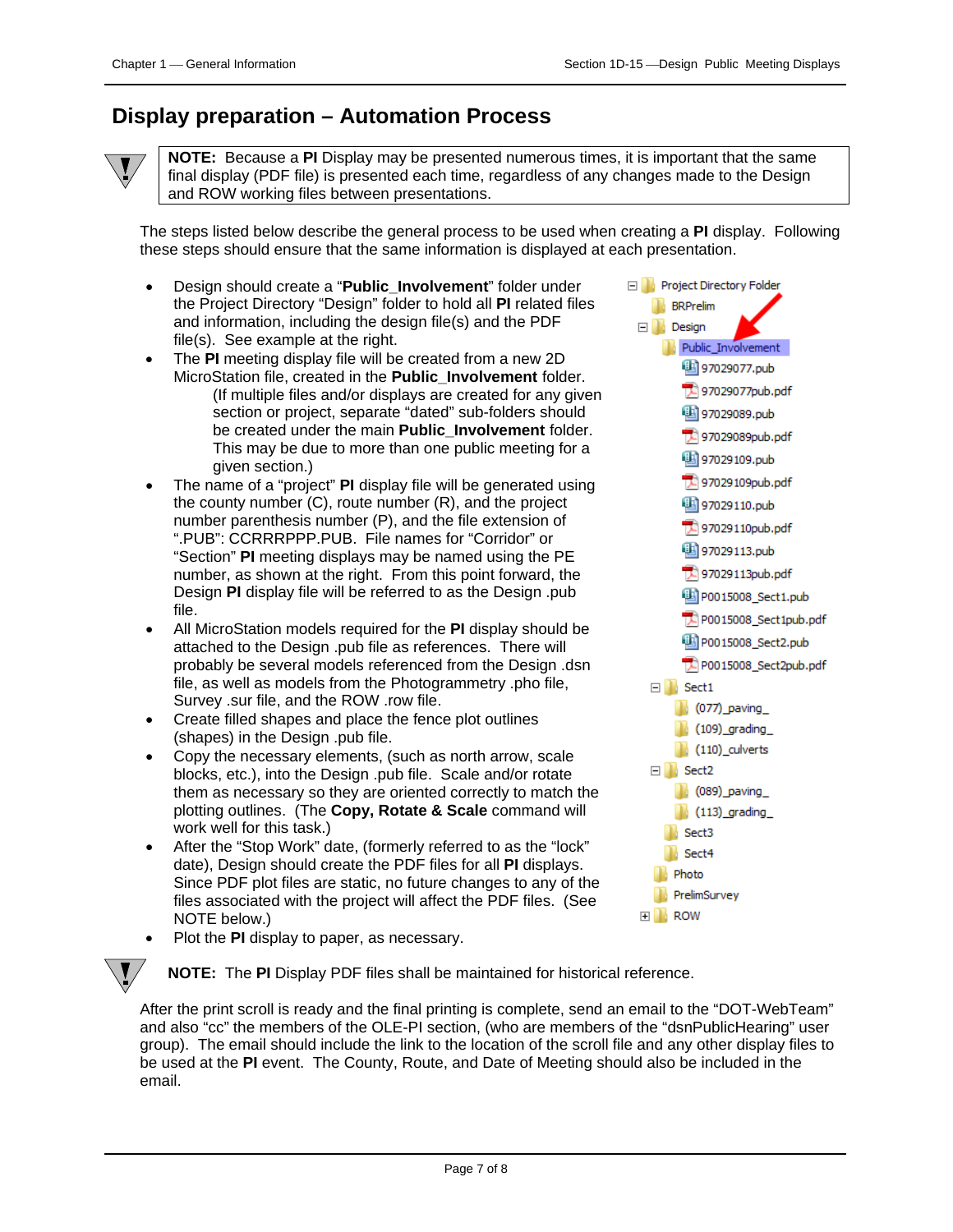## <span id="page-6-0"></span>**Display preparation – Automation Process**



**NOTE:** Because a **PI** Display may be presented numerous times, it is important that the same final display (PDF file) is presented each time, regardless of any changes made to the Design and ROW working files between presentations.

The steps listed below describe the general process to be used when creating a **PI** display. Following these steps should ensure that the same information is displayed at each presentation.

- Design should create a "**Public\_Involvement**" folder under the Project Directory "Design" folder to hold all **PI** related files and information, including the design file(s) and the PDF file(s). See example at the right.
- The **PI** meeting display file will be created from a new 2D MicroStation file, created in the **Public\_Involvement** folder. (If multiple files and/or displays are created for any given section or project, separate "dated" sub-folders should be created under the main **Public\_Involvement** folder. This may be due to more than one public meeting for a given section.)
- The name of a "project" **PI** display file will be generated using the county number (C), route number (R), and the project number parenthesis number (P), and the file extension of ".PUB": CCRRRPPP.PUB. File names for "Corridor" or "Section" **PI** meeting displays may be named using the PE number, as shown at the right. From this point forward, the Design **PI** display file will be referred to as the Design .pub file.
- All MicroStation models required for the **PI** display should be attached to the Design .pub file as references. There will probably be several models referenced from the Design .dsn file, as well as models from the Photogrammetry .pho file, Survey .sur file, and the ROW .row file.
- Create filled shapes and place the fence plot outlines (shapes) in the Design .pub file.
- Copy the necessary elements, (such as north arrow, scale blocks, etc.), into the Design .pub file. Scale and/or rotate them as necessary so they are oriented correctly to match the plotting outlines. (The **Copy, Rotate & Scale** command will work well for this task.)
- After the "Stop Work" date, (formerly referred to as the "lock" date), Design should create the PDF files for all **PI** displays. Since PDF plot files are static, no future changes to any of the files associated with the project will affect the PDF files. (See NOTE below.)



• Plot the **PI** display to paper, as necessary.

**NOTE:** The **PI** Display PDF files shall be maintained for historical reference.

After the print scroll is ready and the final printing is complete, send an email to the "DOT-WebTeam" and also "cc" the members of the OLE-PI section, (who are members of the "dsnPublicHearing" user group). The email should include the link to the location of the scroll file and any other display files to be used at the **PI** event. The County, Route, and Date of Meeting should also be included in the email.